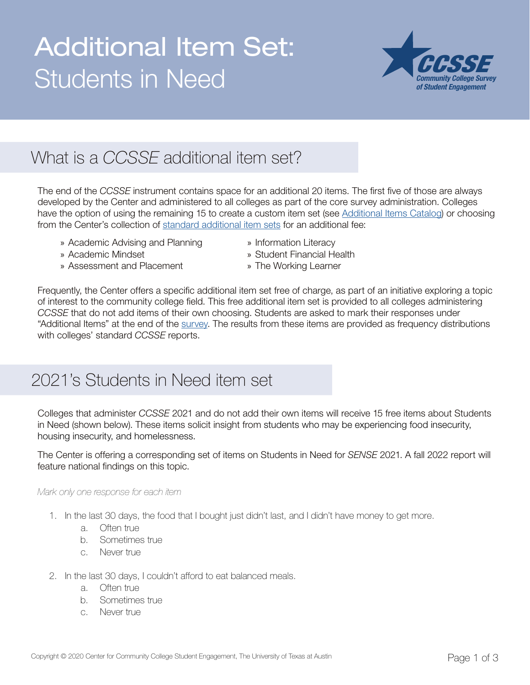## Additional Item Set: Students in Need<br> *Community College Survey*



## What is a *CCSSE* additional item set?

The end of the *CCSSE* instrument contains space for an additional 20 items. The first five of those are always developed by the Center and administered to all colleges as part of the core survey administration. Colleges have the option of using the remaining 15 to create a custom item set (see [Additional Items Catalog](https://www.ccsse.org/join/docs/Additional_Items_Catalog.pdf)) or choosing from the Center's collection of [standard additional item sets](https://www.ccsse.org/join/options.cfm#standard) for an additional fee:

- » Academic Advising and Planning » Information Literacy
- 
- 
- » Assessment and Placement » The Working Learner
- » Academic Mindset » Student Financial Health
	-

Frequently, the Center offers a specific additional item set free of charge, as part of an initiative exploring a topic of interest to the community college field. This free additional item set is provided to all colleges administering *CCSSE* that do not add items of their own choosing. Students are asked to mark their responses under "Additional Items" at the end of the [survey.](https://www.ccsse.org/refresh/CCSSE_Refresh_Sample.pdf) The results from these items are provided as frequency distributions with colleges' standard *CCSSE* reports.

## 2021's Students in Need item set

Colleges that administer *CCSSE* 2021 and do not add their own items will receive 15 free items about Students in Need (shown below). These items solicit insight from students who may be experiencing food insecurity, housing insecurity, and homelessness.

The Center is offering a corresponding set of items on Students in Need for *SENSE* 2021. A fall 2022 report will feature national findings on this topic.

## *Mark only one response for each item*

- 1. In the last 30 days, the food that I bought just didn't last, and I didn't have money to get more.
	- a. Often true
	- b. Sometimes true
	- c. Never true
- 2. In the last 30 days, I couldn't afford to eat balanced meals.
	- a. Often true
	- b. Sometimes true
	- c. Never true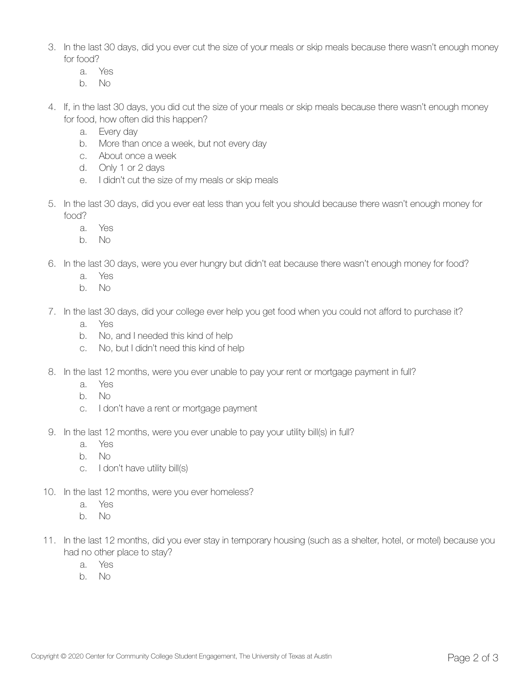- 3. In the last 30 days, did you ever cut the size of your meals or skip meals because there wasn't enough money for food?
	- a. Yes
	- b. No
- 4. If, in the last 30 days, you did cut the size of your meals or skip meals because there wasn't enough money for food, how often did this happen?
	- a. Every day
	- b. More than once a week, but not every day
	- c. About once a week
	- d. Only 1 or 2 days
	- e. I didn't cut the size of my meals or skip meals
- 5. In the last 30 days, did you ever eat less than you felt you should because there wasn't enough money for food?
	- a. Yes
	- b. No
- 6. In the last 30 days, were you ever hungry but didn't eat because there wasn't enough money for food?
	- a. Yes
	- b. No
- 7. In the last 30 days, did your college ever help you get food when you could not afford to purchase it?
	- a. Yes
	- b. No, and I needed this kind of help
	- c. No, but I didn't need this kind of help
- 8. In the last 12 months, were you ever unable to pay your rent or mortgage payment in full?
	- a. Yes
	- b. No
	- c. I don't have a rent or mortgage payment
- 9. In the last 12 months, were you ever unable to pay your utility bill(s) in full?
	- a. Yes
	- b. No
	- c. I don't have utility bill(s)
- 10. In the last 12 months, were you ever homeless?
	- a. Yes
	- b. No
- 11. In the last 12 months, did you ever stay in temporary housing (such as a shelter, hotel, or motel) because you had no other place to stay?
	- a. Yes
	- b. No